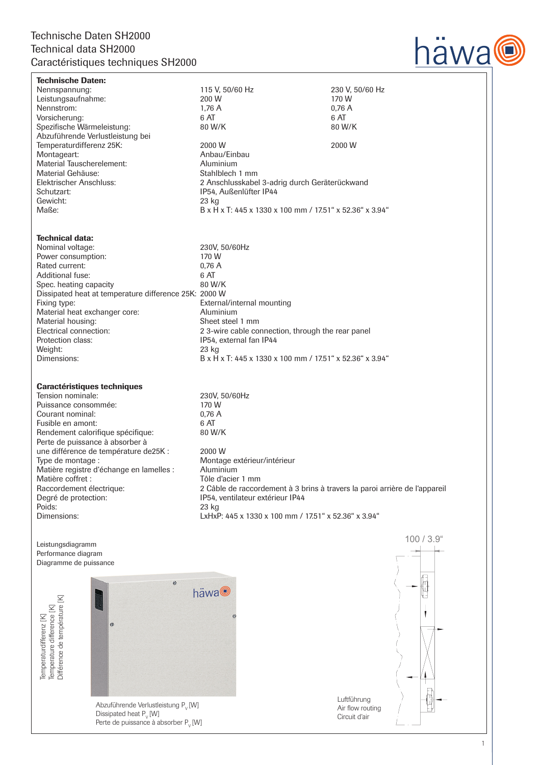## Technische Daten SH2000 Technical data SH2000 Caractéristiques techniques SH2000



Technische Daten: Nennspannung: 115 V, 50/60 Hz 230 V, 50/60 Hz Leistungsaufnahme: 200 W 170 W 170 W 1988 Persential Australian Metal and Metal 200 W 170 W 170 W 170 W 170 W Nennstrom: 1,76 A 0,76<br>Vorsicherung: 6 AT 6 AT 6 AT 6 AT Vorsicherung: 6 AT 6 AT Spezifische Wärmeleistung: Abzuführende Verlustleistung bei Temperaturdifferenz 25K:  $\begin{array}{ccc} 2000 \text{ W} & \quad 2000 \text{ W} \\ \text{Montagent:} & \quad 4 \text{ nhbau/Einbau} \end{array}$ Anbau/Einbau<br>Aluminium Material Tauscherelement: <br>
Material Gehäuse: 
Material Gehäuse: 
Stahlblech 1 mm Material Gehäuse:<br>Elektrischer Anschluss: 2 Anschlusskabel 3-adrig durch Geräterückwand Schutzart: IP54, Außenlüfter IP44 Gewicht: 23 kg Maße: B x H x T: 445 x 1330 x 100 mm / 17.51" x 52.36" x 3.94" Technical data: Nominal voltage: 230V, 50/60Hz Power consumption: 170 W<br>Rated current: 170 W<br>0.76 A Rated current:  $0.76$ <br>Additional fuse: 6 AT Additional fuse: 6 AT<br>
Spec. heating capacity 680 W/K Spec. heating capacity Dissipated heat at temperature difference 25K: 2000 W Fixing type:<br>
Material heat exchanger core:<br>
Aluminium<br>
Aluminium Material heat exchanger core:<br>Material housing: Sheet steel 1 mm Electrical connection: 2 3-wire cable connection, through the rear panel<br>Protection class: 1954 external fan IP44 IP54, external fan IP44 Weight: 23 kg Dimensions: B x H x T: 445 x 1330 x 100 mm / 17.51" x 52.36" x 3.94" Caractéristiques techniques Tension nominale: 230V, 50/60Hz Puissance consommée: 170 W<br>Courant nominal: 0.76 A Courant nominal: 0,76 <br>
Fusible en amont: 6 AT Fusible en amont: 6 AT<br>Rendement calorifique spécifique: 6 AT 6 AT 6 M/K Rendement calorifique spécifique: Perte de puissance à absorber à

une différence de température de25K : 2000 W<br>Type de montage : 625 Montag Montage extérieur/intérieur Matière registre d'échange en lamelles : Aluminium Matière coffret : Tôle d'acier 1 mm Raccordement électrique: 2 Câble de raccordement à 3 brins à travers la paroi arrière de l'appareil Degré de protection: IP54, ventilateur extérieur IP44 Poids: 23 kg Dimensions: LxHxP: 445 x 1330 x 100 mm / 17.51" x 52.36" x 3.94"

Leistungsdiagramm Performance diagram Diagramme de puissance

Temperaturdifferenz [K]<br>Temperature difference [K]<br>Différence de température [K]



Abzuführende Verlustleistung P<sub>v</sub> [W] Dissipated heat  $P_{V}$  [W] Perte de puissance à absorber P. [W] Luftführung Air flow routing Circuit d'air

100 / 3.9"